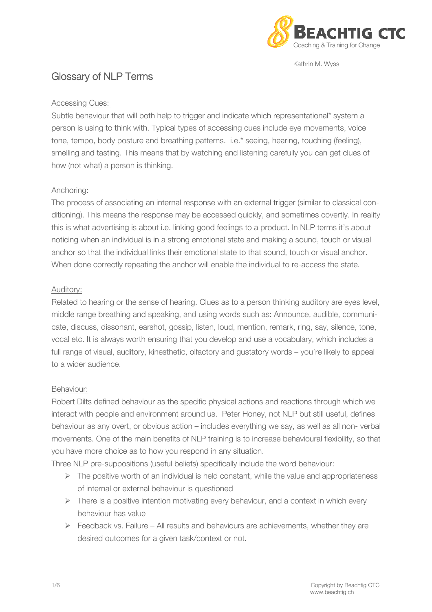

Kathrin M. Wyss

# Glossary of NLP Terms

#### Accessing Cues:

Subtle behaviour that will both help to trigger and indicate which representational\* system a person is using to think with. Typical types of accessing cues include eye movements, voice tone, tempo, body posture and breathing patterns. i.e.\* seeing, hearing, touching (feeling), smelling and tasting. This means that by watching and listening carefully you can get clues of how (not what) a person is thinking.

## Anchoring:

The process of associating an internal response with an external trigger (similar to classical conditioning). This means the response may be accessed quickly, and sometimes covertly. In reality this is what advertising is about i.e. linking good feelings to a product. In NLP terms it's about noticing when an individual is in a strong emotional state and making a sound, touch or visual anchor so that the individual links their emotional state to that sound, touch or visual anchor. When done correctly repeating the anchor will enable the individual to re-access the state.

#### Auditory:

Related to hearing or the sense of hearing. Clues as to a person thinking auditory are eyes level. middle range breathing and speaking, and using words such as: Announce, audible, communicate, discuss, dissonant, earshot, gossip, listen, loud, mention, remark, ring, say, silence, tone, vocal etc. It is always worth ensuring that you develop and use a vocabulary, which includes a full range of visual, auditory, kinesthetic, olfactory and gustatory words – you're likely to appeal to a wider audience.

## Behaviour:

Robert Dilts defined behaviour as the specific physical actions and reactions through which we interact with people and environment around us. Peter Honey, not NLP but still useful, defines behaviour as any overt, or obvious action – includes everything we say, as well as all non- verbal movements. One of the main benefits of NLP training is to increase behavioural flexibility, so that you have more choice as to how you respond in any situation.

Three NLP pre-suppositions (useful beliefs) specifically include the word behaviour:

- $\triangleright$  The positive worth of an individual is held constant, while the value and appropriateness of internal or external behaviour is questioned
- $\triangleright$  There is a positive intention motivating every behaviour, and a context in which every behaviour has value
- $\triangleright$  Feedback vs. Failure All results and behaviours are achievements, whether they are desired outcomes for a given task/context or not.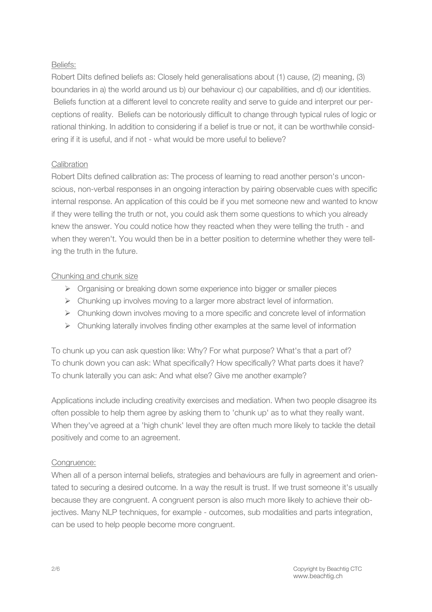## Beliefs:

Robert Dilts defined beliefs as: Closely held generalisations about (1) cause, (2) meaning, (3) boundaries in a) the world around us b) our behaviour c) our capabilities, and d) our identities. Beliefs function at a different level to concrete reality and serve to guide and interpret our perceptions of reality. Beliefs can be notoriously difficult to change through typical rules of logic or rational thinking. In addition to considering if a belief is true or not, it can be worthwhile considering if it is useful, and if not - what would be more useful to believe?

# Calibration

Robert Dilts defined calibration as: The process of learning to read another person's unconscious, non-verbal responses in an ongoing interaction by pairing observable cues with specific internal response. An application of this could be if you met someone new and wanted to know if they were telling the truth or not, you could ask them some questions to which you already knew the answer. You could notice how they reacted when they were telling the truth - and when they weren't. You would then be in a better position to determine whether they were telling the truth in the future.

# Chunking and chunk size

- $\triangleright$  Organising or breaking down some experience into bigger or smaller pieces
- $\triangleright$  Chunking up involves moving to a larger more abstract level of information.
- $\triangleright$  Chunking down involves moving to a more specific and concrete level of information
- $\triangleright$  Chunking laterally involves finding other examples at the same level of information

To chunk up you can ask question like: Why? For what purpose? What's that a part of? To chunk down you can ask: What specifically? How specifically? What parts does it have? To chunk laterally you can ask: And what else? Give me another example?

Applications include including creativity exercises and mediation. When two people disagree its often possible to help them agree by asking them to 'chunk up' as to what they really want. When they've agreed at a 'high chunk' level they are often much more likely to tackle the detail positively and come to an agreement.

# Congruence:

When all of a person internal beliefs, strategies and behaviours are fully in agreement and orientated to securing a desired outcome. In a way the result is trust. If we trust someone it's usually because they are congruent. A congruent person is also much more likely to achieve their objectives. Many NLP techniques, for example - outcomes, sub modalities and parts integration, can be used to help people become more congruent.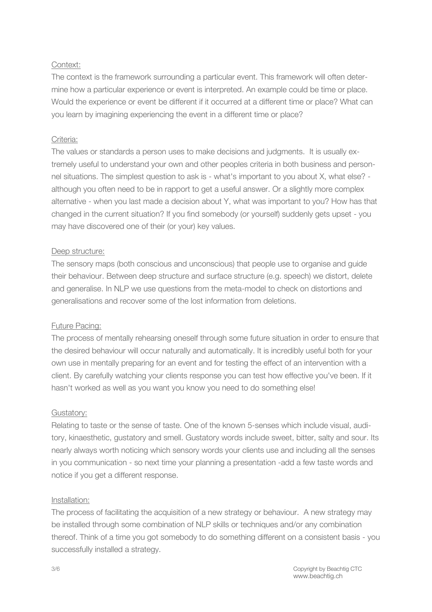### Context:

The context is the framework surrounding a particular event. This framework will often determine how a particular experience or event is interpreted. An example could be time or place. Would the experience or event be different if it occurred at a different time or place? What can you learn by imagining experiencing the event in a different time or place?

#### Criteria:

The values or standards a person uses to make decisions and judgments. It is usually extremely useful to understand your own and other peoples criteria in both business and personnel situations. The simplest question to ask is - what's important to you about X, what else? although you often need to be in rapport to get a useful answer. Or a slightly more complex alternative - when you last made a decision about Y, what was important to you? How has that changed in the current situation? If you find somebody (or yourself) suddenly gets upset - you may have discovered one of their (or your) key values.

#### Deep structure:

The sensory maps (both conscious and unconscious) that people use to organise and guide their behaviour. Between deep structure and surface structure (e.g. speech) we distort, delete and generalise. In NLP we use questions from the meta-model to check on distortions and generalisations and recover some of the lost information from deletions.

#### Future Pacing:

The process of mentally rehearsing oneself through some future situation in order to ensure that the desired behaviour will occur naturally and automatically. It is incredibly useful both for your own use in mentally preparing for an event and for testing the effect of an intervention with a client. By carefully watching your clients response you can test how effective you've been. If it hasn't worked as well as you want you know you need to do something else!

#### Gustatory:

Relating to taste or the sense of taste. One of the known 5-senses which include visual, auditory, kinaesthetic, gustatory and smell. Gustatory words include sweet, bitter, salty and sour. Its nearly always worth noticing which sensory words your clients use and including all the senses in you communication - so next time your planning a presentation -add a few taste words and notice if you get a different response.

#### Installation:

The process of facilitating the acquisition of a new strategy or behaviour. A new strategy may be installed through some combination of NLP skills or techniques and/or any combination thereof. Think of a time you got somebody to do something different on a consistent basis - you successfully installed a strategy.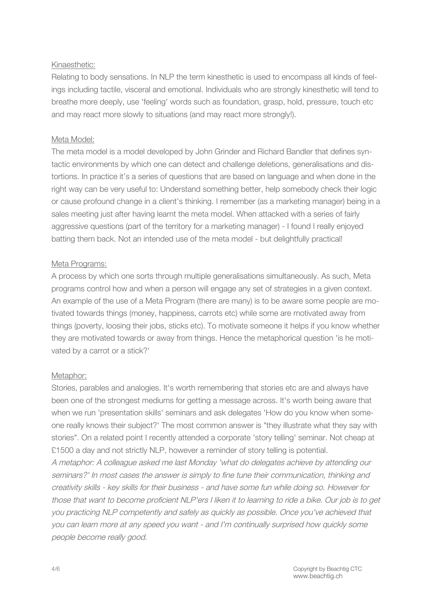## Kinaesthetic:

Relating to body sensations. In NLP the term kinesthetic is used to encompass all kinds of feelings including tactile, visceral and emotional. Individuals who are strongly kinesthetic will tend to breathe more deeply, use 'feeling' words such as foundation, grasp, hold, pressure, touch etc and may react more slowly to situations (and may react more strongly!).

# Meta Model:

The meta model is a model developed by John Grinder and Richard Bandler that defines syntactic environments by which one can detect and challenge deletions, generalisations and distortions. In practice it's a series of questions that are based on language and when done in the right way can be very useful to: Understand something better, help somebody check their logic or cause profound change in a client's thinking. I remember (as a marketing manager) being in a sales meeting just after having learnt the meta model. When attacked with a series of fairly aggressive questions (part of the territory for a marketing manager) - I found I really enjoyed batting them back. Not an intended use of the meta model - but delightfully practical!

# Meta Programs:

A process by which one sorts through multiple generalisations simultaneously. As such, Meta programs control how and when a person will engage any set of strategies in a given context. An example of the use of a Meta Program (there are many) is to be aware some people are motivated towards things (money, happiness, carrots etc) while some are motivated away from things (poverty, loosing their jobs, sticks etc). To motivate someone it helps if you know whether they are motivated towards or away from things. Hence the metaphorical question 'is he motivated by a carrot or a stick?'

## Metaphor:

Stories, parables and analogies. It's worth remembering that stories etc are and always have been one of the strongest mediums for getting a message across. It's worth being aware that when we run 'presentation skills' seminars and ask delegates 'How do you know when someone really knows their subject?' The most common answer is "they illustrate what they say with stories". On a related point I recently attended a corporate 'story telling' seminar. Not cheap at £1500 a day and not strictly NLP, however a reminder of story telling is potential. <sup>A</sup> metaphor: <sup>A</sup> colleague asked me last Monday 'what do delegates achieve by attending our seminars?' In most cases the answer is simply to fine tune their communication, thinking and creativity skills - key skills for their business - and have some fun while doing so. However for those that want to become proficient NLP'ers <sup>I</sup> liken it to learning to ride <sup>a</sup> bike. Our job is to get

you practicing NLP competently and safely as quickly as possible. Once you've achieved that you can learn more at any speed you want - and I'm continually surprised how quickly some people become really good.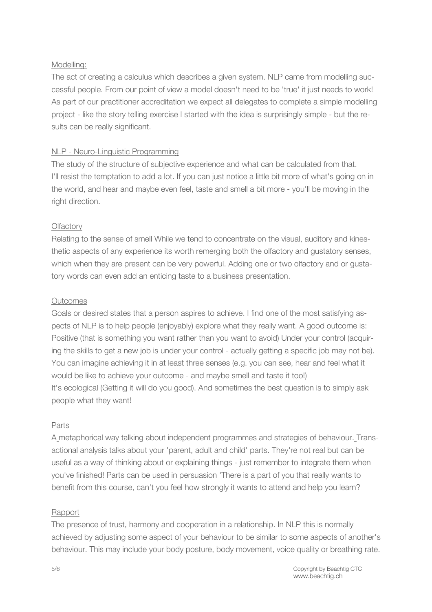## Modelling:

The act of creating a calculus which describes a given system. NLP came from modelling successful people. From our point of view a model doesn't need to be 'true' it just needs to work! As part of our practitioner accreditation we expect all delegates to complete a simple modelling project - like the story telling exercise I started with the idea is surprisingly simple - but the results can be really significant.

# NLP - Neuro-Linguistic Programming

The study of the structure of subjective experience and what can be calculated from that. I'll resist the temptation to add a lot. If you can just notice a little bit more of what's going on in the world, and hear and maybe even feel, taste and smell a bit more - you'll be moving in the right direction.

# **Olfactory**

Relating to the sense of smell While we tend to concentrate on the visual, auditory and kinesthetic aspects of any experience its worth remerging both the olfactory and gustatory senses, which when they are present can be very powerful. Adding one or two olfactory and or gustatory words can even add an enticing taste to a business presentation.

# **Outcomes**

Goals or desired states that a person aspires to achieve. I find one of the most satisfying aspects of NLP is to help people (enjoyably) explore what they really want. A good outcome is: Positive (that is something you want rather than you want to avoid) Under your control (acquiring the skills to get a new job is under your control - actually getting a specific job may not be). You can imagine achieving it in at least three senses (e.g. you can see, hear and feel what it would be like to achieve your outcome - and maybe smell and taste it too!) It's ecological (Getting it will do you good). And sometimes the best question is to simply ask people what they want!

## Parts

A metaphorical way talking about independent programmes and strategies of behaviour. Transactional analysis talks about your 'parent, adult and child' parts. They're not real but can be useful as a way of thinking about or explaining things - just remember to integrate them when you've finished! Parts can be used in persuasion 'There is a part of you that really wants to benefit from this course, can't you feel how strongly it wants to attend and help you learn?

## Rapport

The presence of trust, harmony and cooperation in a relationship. In NLP this is normally achieved by adjusting some aspect of your behaviour to be similar to some aspects of another's behaviour. This may include your body posture, body movement, voice quality or breathing rate.